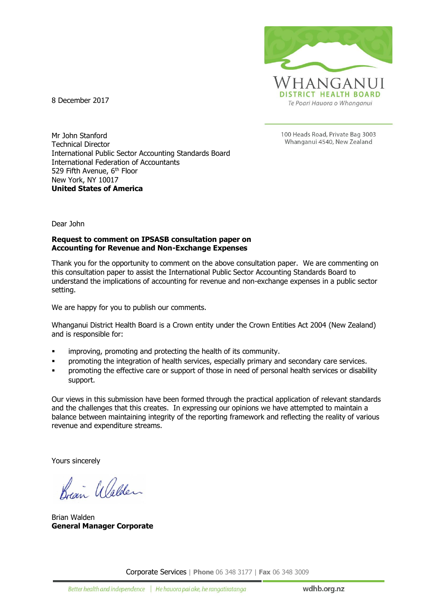

8 December 2017

100 Heads Road, Private Bag 3003 Whanganui 4540, New Zealand

Mr John Stanford Technical Director International Public Sector Accounting Standards Board International Federation of Accountants 529 Fifth Avenue, 6<sup>th</sup> Floor New York, NY 10017 **United States of America**

Dear John

#### **Request to comment on IPSASB consultation paper on Accounting for Revenue and Non-Exchange Expenses**

Thank you for the opportunity to comment on the above consultation paper. We are commenting on this consultation paper to assist the International Public Sector Accounting Standards Board to understand the implications of accounting for revenue and non-exchange expenses in a public sector setting.

We are happy for you to publish our comments.

Whanganui District Health Board is a Crown entity under the Crown Entities Act 2004 (New Zealand) and is responsible for:

- **EXEDENT** improving, promoting and protecting the health of its community.
- promoting the integration of health services, especially primary and secondary care services.
- promoting the effective care or support of those in need of personal health services or disability support.

Our views in this submission have been formed through the practical application of relevant standards and the challenges that this creates. In expressing our opinions we have attempted to maintain a balance between maintaining integrity of the reporting framework and reflecting the reality of various revenue and expenditure streams.

Yours sincerely

Regin Walder

Brian Walden **General Manager Corporate**

Corporate Services | **Phone** 06 348 3177 | **Fax** 06 348 3009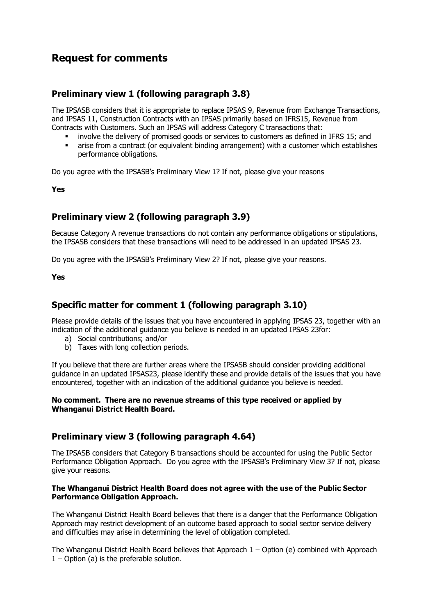# **Request for comments**

## **Preliminary view 1 (following paragraph 3.8)**

The IPSASB considers that it is appropriate to replace IPSAS 9, Revenue from Exchange Transactions, and IPSAS 11, Construction Contracts with an IPSAS primarily based on IFRS15, Revenue from Contracts with Customers. Such an IPSAS will address Category C transactions that:

- involve the delivery of promised goods or services to customers as defined in IFRS 15; and
- arise from a contract (or equivalent binding arrangement) with a customer which establishes performance obligations.

Do you agree with the IPSASB's Preliminary View 1? If not, please give your reasons

**Yes**

## **Preliminary view 2 (following paragraph 3.9)**

Because Category A revenue transactions do not contain any performance obligations or stipulations, the IPSASB considers that these transactions will need to be addressed in an updated IPSAS 23.

Do you agree with the IPSASB's Preliminary View 2? If not, please give your reasons.

**Yes**

## **Specific matter for comment 1 (following paragraph 3.10)**

Please provide details of the issues that you have encountered in applying IPSAS 23, together with an indication of the additional guidance you believe is needed in an updated IPSAS 23for:

- a) Social contributions; and/or
- b) Taxes with long collection periods.

If you believe that there are further areas where the IPSASB should consider providing additional guidance in an updated IPSAS23, please identify these and provide details of the issues that you have encountered, together with an indication of the additional guidance you believe is needed.

### **No comment. There are no revenue streams of this type received or applied by Whanganui District Health Board.**

### **Preliminary view 3 (following paragraph 4.64)**

The IPSASB considers that Category B transactions should be accounted for using the Public Sector Performance Obligation Approach. Do you agree with the IPSASB's Preliminary View 3? If not, please give your reasons.

### **The Whanganui District Health Board does not agree with the use of the Public Sector Performance Obligation Approach.**

The Whanganui District Health Board believes that there is a danger that the Performance Obligation Approach may restrict development of an outcome based approach to social sector service delivery and difficulties may arise in determining the level of obligation completed.

The Whanganui District Health Board believes that Approach 1 – Option (e) combined with Approach  $1 -$  Option (a) is the preferable solution.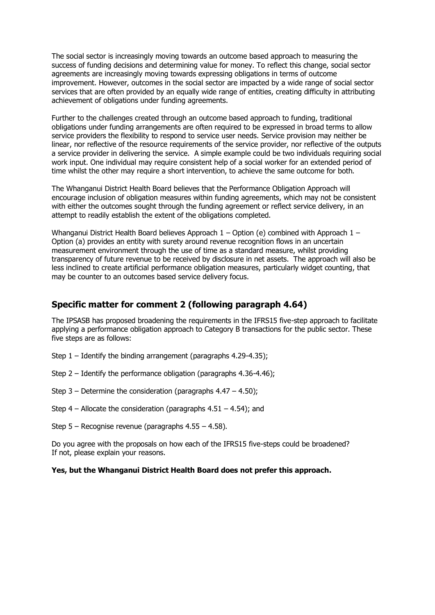The social sector is increasingly moving towards an outcome based approach to measuring the success of funding decisions and determining value for money. To reflect this change, social sector agreements are increasingly moving towards expressing obligations in terms of outcome improvement. However, outcomes in the social sector are impacted by a wide range of social sector services that are often provided by an equally wide range of entities, creating difficulty in attributing achievement of obligations under funding agreements.

Further to the challenges created through an outcome based approach to funding, traditional obligations under funding arrangements are often required to be expressed in broad terms to allow service providers the flexibility to respond to service user needs. Service provision may neither be linear, nor reflective of the resource requirements of the service provider, nor reflective of the outputs a service provider in delivering the service. A simple example could be two individuals requiring social work input. One individual may require consistent help of a social worker for an extended period of time whilst the other may require a short intervention, to achieve the same outcome for both.

The Whanganui District Health Board believes that the Performance Obligation Approach will encourage inclusion of obligation measures within funding agreements, which may not be consistent with either the outcomes sought through the funding agreement or reflect service delivery, in an attempt to readily establish the extent of the obligations completed.

Whanganui District Health Board believes Approach  $1 -$ Option (e) combined with Approach  $1 -$ Option (a) provides an entity with surety around revenue recognition flows in an uncertain measurement environment through the use of time as a standard measure, whilst providing transparency of future revenue to be received by disclosure in net assets. The approach will also be less inclined to create artificial performance obligation measures, particularly widget counting, that may be counter to an outcomes based service delivery focus.

### **Specific matter for comment 2 (following paragraph 4.64)**

The IPSASB has proposed broadening the requirements in the IFRS15 five-step approach to facilitate applying a performance obligation approach to Category B transactions for the public sector. These five steps are as follows:

- Step 1 Identify the binding arrangement (paragraphs 4.29-4.35);
- Step 2 Identify the performance obligation (paragraphs 4.36-4.46);
- Step  $3$  Determine the consideration (paragraphs  $4.47 4.50$ );
- Step  $4$  Allocate the consideration (paragraphs  $4.51 4.54$ ); and
- Step 5 Recognise revenue (paragraphs 4.55 4.58).

Do you agree with the proposals on how each of the IFRS15 five-steps could be broadened? If not, please explain your reasons.

#### **Yes, but the Whanganui District Health Board does not prefer this approach.**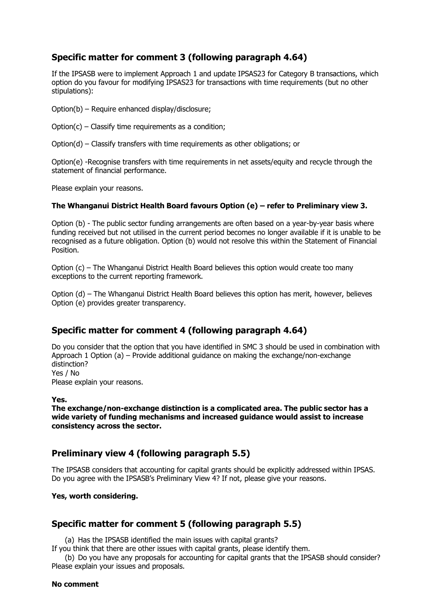## **Specific matter for comment 3 (following paragraph 4.64)**

If the IPSASB were to implement Approach 1 and update IPSAS23 for Category B transactions, which option do you favour for modifying IPSAS23 for transactions with time requirements (but no other stipulations):

Option(b) – Require enhanced display/disclosure;

Option(c) – Classify time requirements as a condition;

Option(d) – Classify transfers with time requirements as other obligations; or

Option(e) -Recognise transfers with time requirements in net assets/equity and recycle through the statement of financial performance.

Please explain your reasons.

### **The Whanganui District Health Board favours Option (e) – refer to Preliminary view 3.**

Option (b) - The public sector funding arrangements are often based on a year-by-year basis where funding received but not utilised in the current period becomes no longer available if it is unable to be recognised as a future obligation. Option (b) would not resolve this within the Statement of Financial Position.

Option (c) – The Whanganui District Health Board believes this option would create too many exceptions to the current reporting framework.

Option (d) – The Whanganui District Health Board believes this option has merit, however, believes Option (e) provides greater transparency.

### **Specific matter for comment 4 (following paragraph 4.64)**

Do you consider that the option that you have identified in SMC 3 should be used in combination with Approach 1 Option (a) – Provide additional guidance on making the exchange/non-exchange distinction? Yes / No

Please explain your reasons.

#### **Yes.**

**The exchange/non-exchange distinction is a complicated area. The public sector has a wide variety of funding mechanisms and increased guidance would assist to increase consistency across the sector.**

### **Preliminary view 4 (following paragraph 5.5)**

The IPSASB considers that accounting for capital grants should be explicitly addressed within IPSAS. Do you agree with the IPSASB's Preliminary View 4? If not, please give your reasons.

### **Yes, worth considering.**

### **Specific matter for comment 5 (following paragraph 5.5)**

(a) Has the IPSASB identified the main issues with capital grants?

If you think that there are other issues with capital grants, please identify them.

(b) Do you have any proposals for accounting for capital grants that the IPSASB should consider? Please explain your issues and proposals.

#### **No comment**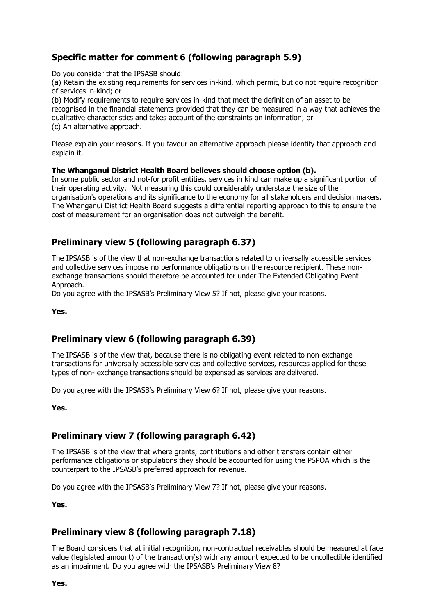# **Specific matter for comment 6 (following paragraph 5.9)**

Do you consider that the IPSASB should:

(a) Retain the existing requirements for services in-kind, which permit, but do not require recognition of services in-kind; or

(b) Modify requirements to require services in-kind that meet the definition of an asset to be recognised in the financial statements provided that they can be measured in a way that achieves the qualitative characteristics and takes account of the constraints on information; or (c) An alternative approach.

Please explain your reasons. If you favour an alternative approach please identify that approach and explain it.

### **The Whanganui District Health Board believes should choose option (b).**

In some public sector and not-for profit entities, services in kind can make up a significant portion of their operating activity. Not measuring this could considerably understate the size of the organisation's operations and its significance to the economy for all stakeholders and decision makers. The Whanganui District Health Board suggests a differential reporting approach to this to ensure the cost of measurement for an organisation does not outweigh the benefit.

## **Preliminary view 5 (following paragraph 6.37)**

The IPSASB is of the view that non-exchange transactions related to universally accessible services and collective services impose no performance obligations on the resource recipient. These nonexchange transactions should therefore be accounted for under The Extended Obligating Event Approach.

Do you agree with the IPSASB's Preliminary View 5? If not, please give your reasons.

**Yes.**

## **Preliminary view 6 (following paragraph 6.39)**

The IPSASB is of the view that, because there is no obligating event related to non-exchange transactions for universally accessible services and collective services, resources applied for these types of non- exchange transactions should be expensed as services are delivered.

Do you agree with the IPSASB's Preliminary View 6? If not, please give your reasons.

**Yes.**

## **Preliminary view 7 (following paragraph 6.42)**

The IPSASB is of the view that where grants, contributions and other transfers contain either performance obligations or stipulations they should be accounted for using the PSPOA which is the counterpart to the IPSASB's preferred approach for revenue.

Do you agree with the IPSASB's Preliminary View 7? If not, please give your reasons.

**Yes.**

### **Preliminary view 8 (following paragraph 7.18)**

The Board considers that at initial recognition, non-contractual receivables should be measured at face value (legislated amount) of the transaction(s) with any amount expected to be uncollectible identified as an impairment. Do you agree with the IPSASB's Preliminary View 8?

**Yes.**